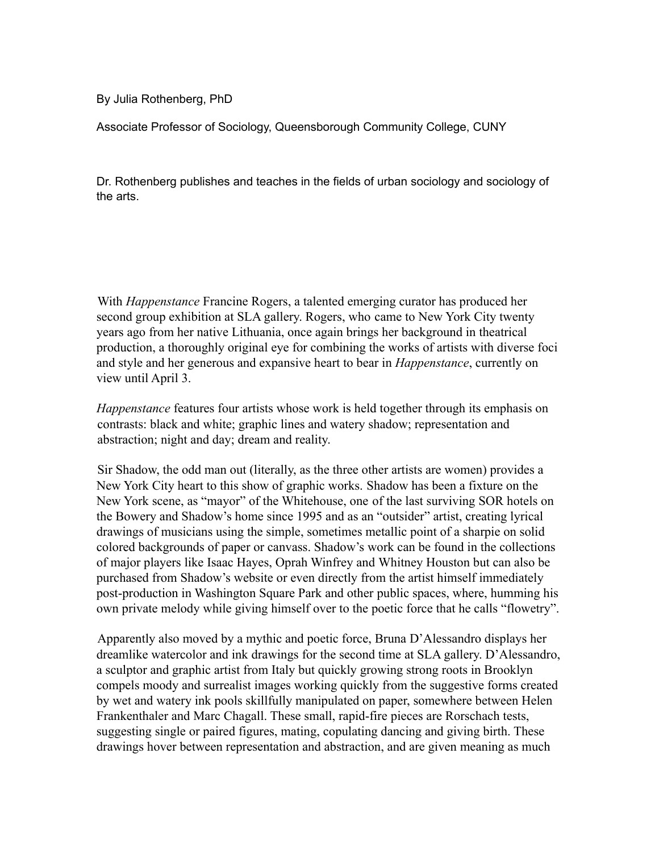By Julia Rothenberg, PhD

Associate Professor of Sociology, Queensborough Community College, CUNY

Dr. Rothenberg publishes and teaches in the fields of urban sociology and sociology of the arts.

With *Happenstance* Francine Rogers, a talented emerging curator has produced her second group exhibition at SLA gallery. Rogers, who came to New York City twenty years ago from her native Lithuania, once again brings her background in theatrical production, a thoroughly original eye for combining the works of artists with diverse foci and style and her generous and expansive heart to bear in *Happenstance*, currently on view until April 3.

*Happenstance* features four artists whose work is held together through its emphasis on contrasts: black and white; graphic lines and watery shadow; representation and abstraction; night and day; dream and reality.

Sir Shadow, the odd man out (literally, as the three other artists are women) provides a New York City heart to this show of graphic works. Shadow has been a fixture on the New York scene, as "mayor" of the Whitehouse, one of the last surviving SOR hotels on the Bowery and Shadow's home since 1995 and as an "outsider" artist, creating lyrical drawings of musicians using the simple, sometimes metallic point of a sharpie on solid colored backgrounds of paper or canvass. Shadow's work can be found in the collections of major players like Isaac Hayes, Oprah Winfrey and Whitney Houston but can also be purchased from Shadow's website or even directly from the artist himself immediately post-production in Washington Square Park and other public spaces, where, humming his own private melody while giving himself over to the poetic force that he calls "flowetry".

Apparently also moved by a mythic and poetic force, Bruna D'Alessandro displays her dreamlike watercolor and ink drawings for the second time at SLA gallery. D'Alessandro, a sculptor and graphic artist from Italy but quickly growing strong roots in Brooklyn compels moody and surrealist images working quickly from the suggestive forms created by wet and watery ink pools skillfully manipulated on paper, somewhere between Helen Frankenthaler and Marc Chagall. These small, rapid-fire pieces are Rorschach tests, suggesting single or paired figures, mating, copulating dancing and giving birth. These drawings hover between representation and abstraction, and are given meaning as much